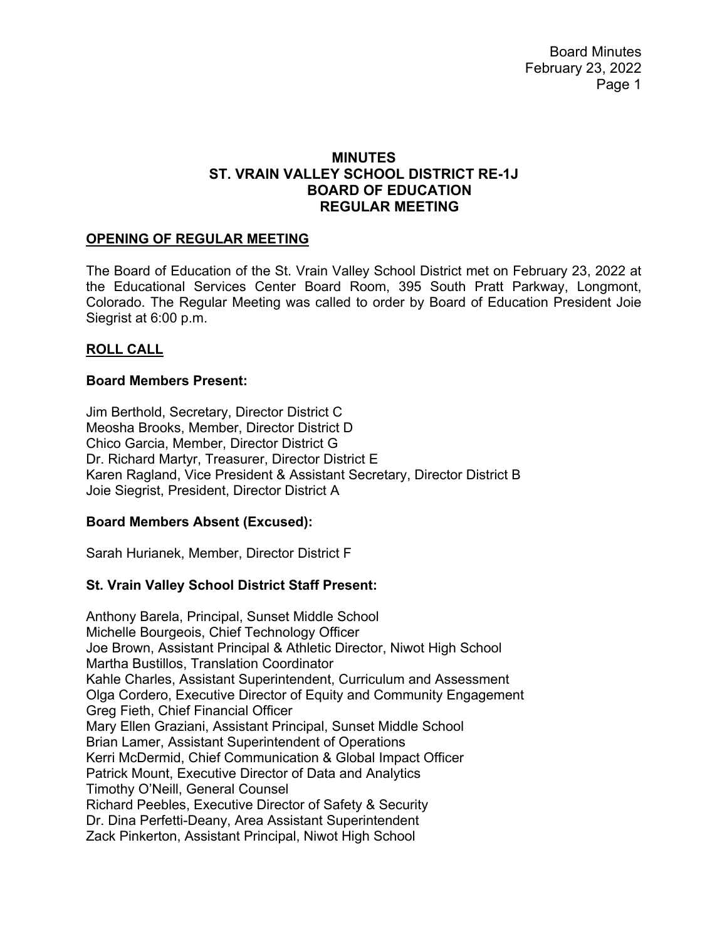Board Minutes February 23, 2022 Page 1

## **MINUTES ST. VRAIN VALLEY SCHOOL DISTRICT RE-1J BOARD OF EDUCATION REGULAR MEETING**

#### **OPENING OF REGULAR MEETING**

The Board of Education of the St. Vrain Valley School District met on February 23, 2022 at the Educational Services Center Board Room, 395 South Pratt Parkway, Longmont, Colorado. The Regular Meeting was called to order by Board of Education President Joie Siegrist at 6:00 p.m.

### **ROLL CALL**

#### **Board Members Present:**

Jim Berthold, Secretary, Director District C Meosha Brooks, Member, Director District D Chico Garcia, Member, Director District G Dr. Richard Martyr, Treasurer, Director District E Karen Ragland, Vice President & Assistant Secretary, Director District B Joie Siegrist, President, Director District A

#### **Board Members Absent (Excused):**

Sarah Hurianek, Member, Director District F

# **St. Vrain Valley School District Staff Present:**

Anthony Barela, Principal, Sunset Middle School Michelle Bourgeois, Chief Technology Officer Joe Brown, Assistant Principal & Athletic Director, Niwot High School Martha Bustillos, Translation Coordinator Kahle Charles, Assistant Superintendent, Curriculum and Assessment Olga Cordero, Executive Director of Equity and Community Engagement Greg Fieth, Chief Financial Officer Mary Ellen Graziani, Assistant Principal, Sunset Middle School Brian Lamer, Assistant Superintendent of Operations Kerri McDermid, Chief Communication & Global Impact Officer Patrick Mount, Executive Director of Data and Analytics Timothy O'Neill, General Counsel Richard Peebles, Executive Director of Safety & Security Dr. Dina Perfetti-Deany, Area Assistant Superintendent Zack Pinkerton, Assistant Principal, Niwot High School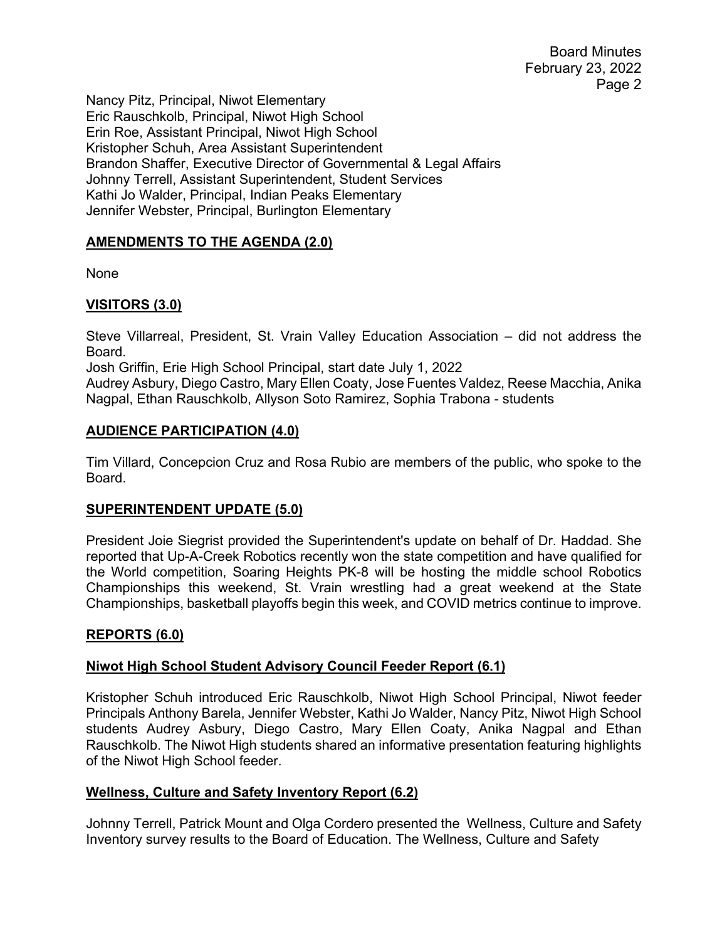Board Minutes February 23, 2022 Page 2

Nancy Pitz, Principal, Niwot Elementary Eric Rauschkolb, Principal, Niwot High School Erin Roe, Assistant Principal, Niwot High School Kristopher Schuh, Area Assistant Superintendent Brandon Shaffer, Executive Director of Governmental & Legal Affairs Johnny Terrell, Assistant Superintendent, Student Services Kathi Jo Walder, Principal, Indian Peaks Elementary Jennifer Webster, Principal, Burlington Elementary

# **AMENDMENTS TO THE AGENDA (2.0)**

None

### **VISITORS (3.0)**

Steve Villarreal, President, St. Vrain Valley Education Association – did not address the Board.

Josh Griffin, Erie High School Principal, start date July 1, 2022

Audrey Asbury, Diego Castro, Mary Ellen Coaty, Jose Fuentes Valdez, Reese Macchia, Anika Nagpal, Ethan Rauschkolb, Allyson Soto Ramirez, Sophia Trabona - students

### **AUDIENCE PARTICIPATION (4.0)**

Tim Villard, Concepcion Cruz and Rosa Rubio are members of the public, who spoke to the Board.

#### **SUPERINTENDENT UPDATE (5.0)**

President Joie Siegrist provided the Superintendent's update on behalf of Dr. Haddad. She reported that Up-A-Creek Robotics recently won the state competition and have qualified for the World competition, Soaring Heights PK-8 will be hosting the middle school Robotics Championships this weekend, St. Vrain wrestling had a great weekend at the State Championships, basketball playoffs begin this week, and COVID metrics continue to improve.

#### **REPORTS (6.0)**

#### **Niwot High School Student Advisory Council Feeder Report (6.1)**

Kristopher Schuh introduced Eric Rauschkolb, Niwot High School Principal, Niwot feeder Principals Anthony Barela, Jennifer Webster, Kathi Jo Walder, Nancy Pitz, Niwot High School students Audrey Asbury, Diego Castro, Mary Ellen Coaty, Anika Nagpal and Ethan Rauschkolb. The Niwot High students shared an informative presentation featuring highlights of the Niwot High School feeder.

#### **Wellness, Culture and Safety Inventory Report (6.2)**

Johnny Terrell, Patrick Mount and Olga Cordero presented the Wellness, Culture and Safety Inventory survey results to the Board of Education. The Wellness, Culture and Safety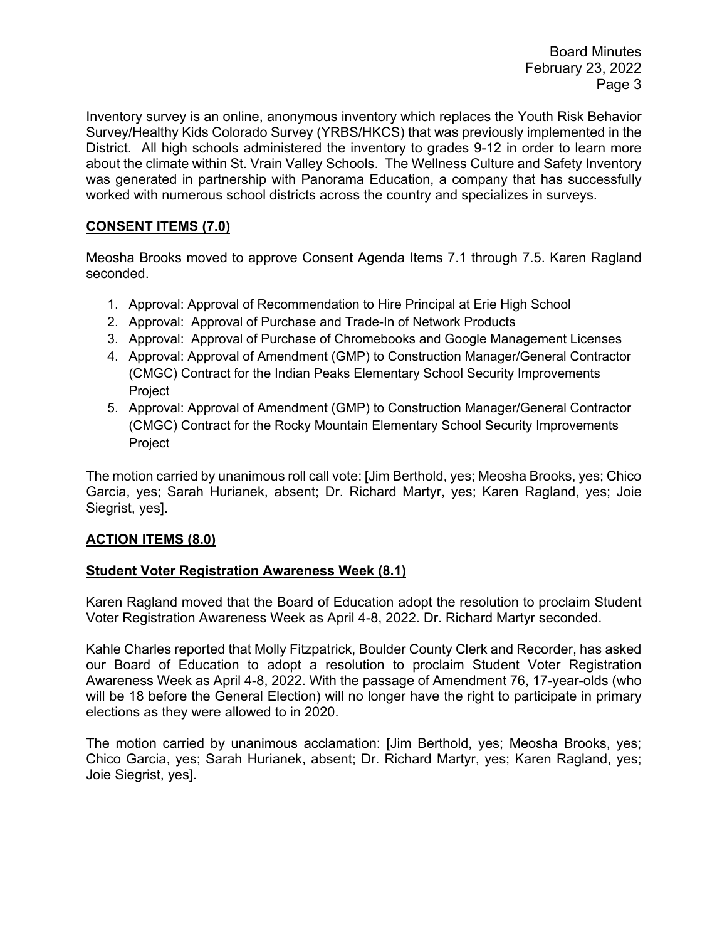Inventory survey is an online, anonymous inventory which replaces the Youth Risk Behavior Survey/Healthy Kids Colorado Survey (YRBS/HKCS) that was previously implemented in the District. All high schools administered the inventory to grades 9-12 in order to learn more about the climate within St. Vrain Valley Schools. The Wellness Culture and Safety Inventory was generated in partnership with Panorama Education, a company that has successfully worked with numerous school districts across the country and specializes in surveys.

## **CONSENT ITEMS (7.0)**

Meosha Brooks moved to approve Consent Agenda Items 7.1 through 7.5. Karen Ragland seconded.

- 1. Approval: Approval of Recommendation to Hire Principal at Erie High School
- 2. Approval: Approval of Purchase and Trade-In of Network Products
- 3. Approval: Approval of Purchase of Chromebooks and Google Management Licenses
- 4. Approval: Approval of Amendment (GMP) to Construction Manager/General Contractor (CMGC) Contract for the Indian Peaks Elementary School Security Improvements **Project**
- 5. Approval: Approval of Amendment (GMP) to Construction Manager/General Contractor (CMGC) Contract for the Rocky Mountain Elementary School Security Improvements Project

The motion carried by unanimous roll call vote: [Jim Berthold, yes; Meosha Brooks, yes; Chico Garcia, yes; Sarah Hurianek, absent; Dr. Richard Martyr, yes; Karen Ragland, yes; Joie Siegrist, yes].

#### **ACTION ITEMS (8.0)**

#### **Student Voter Registration Awareness Week (8.1)**

Karen Ragland moved that the Board of Education adopt the resolution to proclaim Student Voter Registration Awareness Week as April 4-8, 2022. Dr. Richard Martyr seconded.

Kahle Charles reported that Molly Fitzpatrick, Boulder County Clerk and Recorder, has asked our Board of Education to adopt a resolution to proclaim Student Voter Registration Awareness Week as April 4-8, 2022. With the passage of Amendment 76, 17-year-olds (who will be 18 before the General Election) will no longer have the right to participate in primary elections as they were allowed to in 2020.

The motion carried by unanimous acclamation: [Jim Berthold, yes; Meosha Brooks, yes; Chico Garcia, yes; Sarah Hurianek, absent; Dr. Richard Martyr, yes; Karen Ragland, yes; Joie Siegrist, yes].